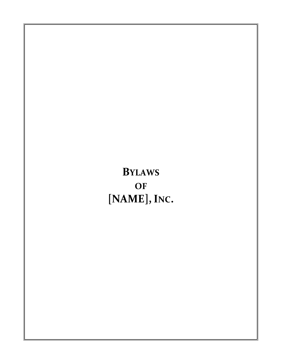**BYLAWS OF [NAME],INC.**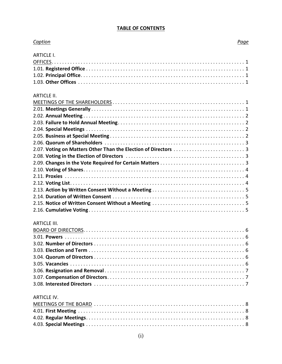#### **TABLE OF CONTENTS**

| Caption             | Page |
|---------------------|------|
| <b>ARTICLE I.</b>   |      |
|                     |      |
|                     |      |
|                     |      |
|                     |      |
|                     |      |
| <b>ARTICLE II.</b>  |      |
|                     |      |
|                     |      |
|                     |      |
|                     |      |
|                     |      |
|                     |      |
|                     |      |
|                     |      |
|                     |      |
|                     |      |
|                     |      |
|                     |      |
|                     |      |
|                     |      |
|                     |      |
|                     |      |
|                     |      |
|                     |      |
| <b>ARTICLE III.</b> |      |
|                     |      |
|                     |      |
|                     |      |
|                     |      |
|                     |      |
|                     |      |
|                     |      |
|                     |      |
|                     |      |
|                     |      |
| <b>ARTICLE IV.</b>  |      |
|                     |      |
|                     |      |
|                     |      |
|                     |      |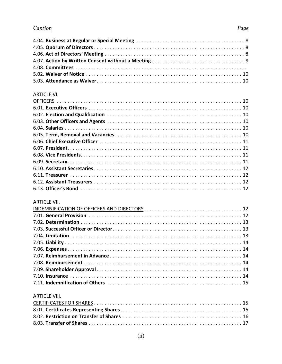# Page

| <b>ARTICLE VI.</b>   |  |
|----------------------|--|
|                      |  |
|                      |  |
|                      |  |
|                      |  |
|                      |  |
|                      |  |
|                      |  |
|                      |  |
|                      |  |
|                      |  |
|                      |  |
|                      |  |
|                      |  |
|                      |  |
| <b>ARTICLE VII.</b>  |  |
|                      |  |
|                      |  |
|                      |  |
|                      |  |
|                      |  |
|                      |  |
|                      |  |
|                      |  |
|                      |  |
|                      |  |
|                      |  |
|                      |  |
|                      |  |
| <b>ARTICLE VIII.</b> |  |
|                      |  |
|                      |  |
|                      |  |
|                      |  |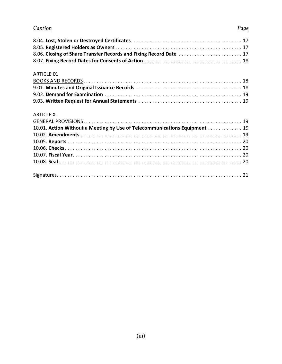#### *Caption Page*

# 8.04. **Lost, Stolen or Destroyed Certificates**. . . . . . . . . . . . . . . . . . . . . . . . . . . . . . . . . . . . . . . . . . 17 8.05. **Registered Holders as Owners**. . . . . . . . . . . . . . . . . . . . . . . . . . . . . . . . . . . . . . . . . . . . . . . . 17 8.06. **Closing of Share Transfer Records and Fixing Record Date** . . . . . . . . . . . . . . . . . . . . . . . . 17 8.07. **Fixing Record Dates for Consents of Action** . . . . . . . . . . . . . . . . . . . . . . . . . . . . . . . . . . . . . 18 ARTICLE IX. BOOKS AND RECORDS . . . . . . . . . . . . . . . . . . . . . . . . . . . . . . . . . . . . . . . . . . . . . . . . . . . . . . . . . . . . 18 9.01. **Minutes and Original Issuance Records** . . . . . . . . . . . . . . . . . . . . . . . . . . . . . . . . . . . . . . . . 18 9.02. **Demand for Examination** . . . . . . . . . . . . . . . . . . . . . . . . . . . . . . . . . . . . . . . . . . . . . . . . . . . . 19 9.03. **Written Request for Annual Statements** . . . . . . . . . . . . . . . . . . . . . . . . . . . . . . . . . . . . . . . 19 ARTICLE X. GENERAL PROVISIONS. . . . . . . . . . . . . . . . . . . . . . . . . . . . . . . . . . . . . . . . . . . . . . . . . . . . . . . . . . . . 19 10.01. **Action Without a Meeting by Use of Telecommunications Equipment** . . . . . . . . . . . . . 19 10.02. **Amendments** . . . . . . . . . . . . . . . . . . . . . . . . . . . . . . . . . . . . . . . . . . . . . . . . . . . . . . . . . . . . . 19 10.05. **Reports** . . . . . . . . . . . . . . . . . . . . . . . . . . . . . . . . . . . . . . . . . . . . . . . . . . . . . . . . . . . . . . . . . . 20 10.06. **Checks**. . . . . . . . . . . . . . . . . . . . . . . . . . . . . . . . . . . . . . . . . . . . . . . . . . . . . . . . . . . . . . . . . . . 20 10.07. **Fiscal Year**. . . . . . . . . . . . . . . . . . . . . . . . . . . . . . . . . . . . . . . . . . . . . . . . . . . . . . . . . . . . . . . . 20 10.08. **Seal** . . . . . . . . . . . . . . . . . . . . . . . . . . . . . . . . . . . . . . . . . . . . . . . . . . . . . . . . . . . . . . . . . . . . . 20 Signatures. . . . . . . . . . . . . . . . . . . . . . . . . . . . . . . . . . . . . . . . . . . . . . . . . . . . . . . . . . . . . . . . . . . . . . 21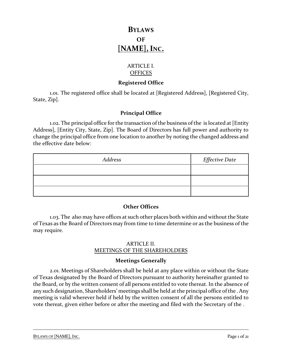# **BYLAWS OF [NAME],INC.**

# ARTICLE I. **OFFICES**

## **Registered Office**

1.01. The registered office shall be located at [Registered Address], [Registered City, State, Zip].

# **Principal Office**

1.02. The principal office for the transaction of the business of the is located at [Entity Address], [Entity City, State, Zip]. The Board of Directors has full power and authority to change the principal office from one location to another by noting the changed address and the effective date below:

| Address | <i>Effective Date</i> |
|---------|-----------------------|
|         |                       |
|         |                       |
|         |                       |

#### **Other Offices**

1.03. The also may have offices at such other places both within and without the State of Texas as the Board of Directors may from time to time determine or as the business of the may require.

# ARTICLE II. MEETINGS OF THE SHAREHOLDERS

# **Meetings Generally**

2.01. Meetings of Shareholders shall be held at any place within or without the State of Texas designated by the Board of Directors pursuant to authority hereinafter granted to the Board, or by the written consent of all persons entitled to vote thereat. In the absence of any such designation, Shareholders' meetings shall be held at the principal office of the . Any meeting is valid wherever held if held by the written consent of all the persons entitled to vote thereat, given either before or after the meeting and filed with the Secretary of the .

BYLAWS OF [NAME], INC. Page 1 of 21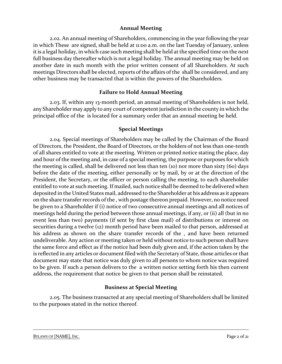### **Annual Meeting**

2.02. An annual meeting of Shareholders, commencing in the year following the year in which These are signed, shall be held at 11:00 a.m. on the last Tuesday of January, unless it is a legal holiday, in which case such meeting shall be held at the specified time on the next full business day thereafter which is not a legal holiday. The annual meeting may be held on another date in such month with the prior written consent of all Shareholders. At such meetings Directors shall be elected, reports of the affairs of the shall be considered, and any other business may be transacted that is within the powers of the Shareholders.

# **Failure to Hold Annual Meeting**

2.03. If, within any 13-month period, an annual meeting of Shareholders is not held, any Shareholder may apply to any court of competent jurisdiction in the county in which the principal office of the is located for a summary order that an annual meeting be held.

# **Special Meetings**

2.04. Special meetings of Shareholders may be called by the Chairman of the Board of Directors, the President, the Board of Directors, or the holders of not less than one-tenth of all shares entitled to vote at the meeting. Written or printed notice stating the place, day and hour of the meeting and, in case of a special meeting, the purpose or purposes for which the meeting is called, shall be delivered not less than ten (10) nor more than sixty (60) days before the date of the meeting, either personally or by mail, by or at the direction of the President, the Secretary, or the officer or person calling the meeting, to each shareholder entitled to vote at such meeting. If mailed, such notice shall be deemed to be delivered when deposited in the United States mail, addressed to the Shareholder at his address as it appears on the share transfer records of the , with postage thereon prepaid. However, no notice need be given to a Shareholder if (i) notice of two consecutive annual meetings and all notices of meetings held during the period between those annual meetings, if any, or (ii) all (but in no event less than two) payments (if sent by first class mail) of distributions or interest on securities during a twelve (12) month period have been mailed to that person, addressed at his address as shown on the share transfer records of the , and have been returned undeliverable. Any action or meeting taken or held without notice to such person shall have the same force and effect as if the notice had been duly given and, if the action taken by the is reflected in any articles or document filed with the Secretary of State, those articles or that document may state that notice was duly given to all persons to whom notice was required to be given. If such a person delivers to the a written notice setting forth his then current address, the requirement that notice be given to that person shall be reinstated.

# **Business at Special Meeting**

2.05. The business transacted at any special meeting of Shareholders shall be limited to the purposes stated in the notice thereof.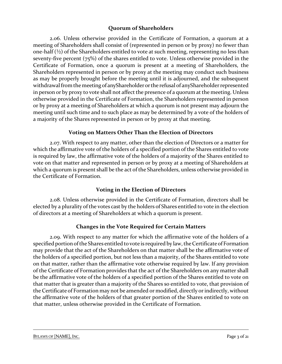# **Quorum of Shareholders**

2.06. Unless otherwise provided in the Certificate of Formation, a quorum at a meeting of Shareholders shall consist of (represented in person or by proxy) no fewer than one-half  $(½)$  of the Shareholders entitled to vote at such meeting, representing no less than seventy-five percent (75%) of the shares entitled to vote. Unless otherwise provided in the Certificate of Formation, once a quorum is present at a meeting of Shareholders, the Shareholders represented in person or by proxy at the meeting may conduct such business as may be properly brought before the meeting until it is adjourned, and the subsequent withdrawal from the meeting of anyShareholder or the refusal of anyShareholder represented in person or by proxy to vote shall not affect the presence of a quorum at the meeting. Unless otherwise provided in the Certificate of Formation, the Shareholders represented in person or by proxy at a meeting of Shareholders at which a quorum is not present may adjourn the meeting until such time and to such place as may be determined by a vote of the holders of a majority of the Shares represented in person or by proxy at that meeting.

# **Voting on Matters Other Than the Election of Directors**

2.07. With respect to any matter, other than the election of Directors or a matter for which the affirmative vote of the holders of a specified portion of the Shares entitled to vote is required by law, the affirmative vote of the holders of a majority of the Shares entitled to vote on that matter and represented in person or by proxy at a meeting of Shareholders at which a quorum is present shall be the act of the Shareholders, unless otherwise provided in the Certificate of Formation.

# **Voting in the Election of Directors**

2.08. Unless otherwise provided in the Certificate of Formation, directors shall be elected by a plurality of the votes cast by the holders of Shares entitled to vote in the election of directors at a meeting of Shareholders at which a quorum is present.

# **Changes in the Vote Required for Certain Matters**

2.09. With respect to any matter for which the affirmative vote of the holders of a specified portion of the Shares entitled to vote is required by law, the Certificate of Formation may provide that the act of the Shareholders on that matter shall be the affirmative vote of the holders of a specified portion, but not less than a majority, of the Shares entitled to vote on that matter, rather than the affirmative vote otherwise required by law. If any provision of the Certificate of Formation provides that the act of the Shareholders on any matter shall be the affirmative vote of the holders of a specified portion of the Shares entitled to vote on that matter that is greater than a majority of the Shares so entitled to vote, that provision of the Certificate of Formation may not be amended or modified, directly or indirectly, without the affirmative vote of the holders of that greater portion of the Shares entitled to vote on that matter, unless otherwise provided in the Certificate of Formation.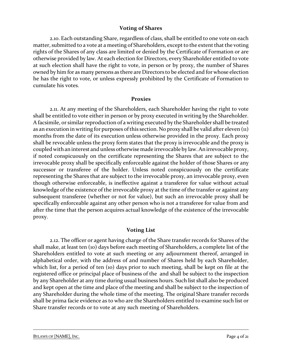#### **Voting of Shares**

2.10. Each outstanding Share, regardless of class, shall be entitled to one vote on each matter, submitted to a vote at a meeting of Shareholders, except to the extent that the voting rights of the Shares of any class are limited or denied by the Certificate of Formation or are otherwise provided by law. At each election for Directors, every Shareholder entitled to vote at such election shall have the right to vote, in person or by proxy, the number of Shares owned by him for as many persons as there are Directors to be elected and for whose election he has the right to vote, or unless expressly prohibited by the Certificate of Formation to cumulate his votes.

#### **Proxies**

2.11. At any meeting of the Shareholders, each Shareholder having the right to vote shall be entitled to vote either in person or by proxy executed in writing by the Shareholder. A facsimile, or similar reproduction of a writing executed by the Shareholder shall be treated as an execution in writing for purposes of this section. No proxy shall be valid after eleven (11) months from the date of its execution unless otherwise provided in the proxy. Each proxy shall be revocable unless the proxy form states that the proxy is irrevocable and the proxy is coupled with an interest and unless otherwise made irrevocable by law. An irrevocable proxy, if noted conspicuously on the certificate representing the Shares that are subject to the irrevocable proxy shall be specifically enforceable against the holder of those Shares or any successor or transferee of the holder. Unless noted conspicuously on the certificate representing the Shares that are subject to the irrevocable proxy, an irrevocable proxy, even though otherwise enforceable, is ineffective against a transferee for value without actual knowledge of the existence of the irrevocable proxy at the time of the transfer or against any subsequent transferee (whether or not for value), but such an irrevocable proxy shall be specifically enforceable against any other person who is not a transferee for value from and after the time that the person acquires actual knowledge of the existence of the irrevocable proxy.

#### **Voting List**

2.12. The officer or agent having charge of the Share transfer records for Shares of the shall make, at least ten (10) days before each meeting of Shareholders, a complete list of the Shareholders entitled to vote at such meeting or any adjournment thereof, arranged in alphabetical order, with the address of and number of Shares held by each Shareholder, which list, for a period of ten (10) days prior to such meeting, shall be kept on file at the registered office or principal place of business of the and shall be subject to the inspection by any Shareholder at any time during usual business hours. Such list shall also be produced and kept open at the time and place of the meeting and shall be subject to the inspection of any Shareholder during the whole time of the meeting. The original Share transfer records shall be prima facie evidence as to who are the Shareholders entitled to examine such list or Share transfer records or to vote at any such meeting of Shareholders.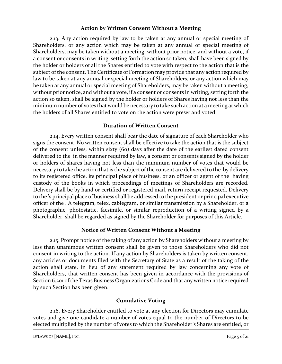### **Action by Written Consent Without a Meeting**

2.13. Any action required by law to be taken at any annual or special meeting of Shareholders, or any action which may be taken at any annual or special meeting of Shareholders, may be taken without a meeting, without prior notice, and without a vote, if a consent or consents in writing, setting forth the action so taken, shall have been signed by the holder or holders of all the Shares entitled to vote with respect to the action that is the subject of the consent. The Certificate of Formation may provide that any action required by law to be taken at any annual or special meeting of Shareholders, or any action which may be taken at any annual or special meeting of Shareholders, may be taken without a meeting, without prior notice, and without a vote, if a consent or consents in writing, setting forth the action so taken, shall be signed by the holder or holders of Shares having not less than the minimum number of votes that would be necessary to take such action at a meeting at which the holders of all Shares entitled to vote on the action were preset and voted.

# **Duration of Written Consent**

2.14. Every written consent shall bear the date of signature of each Shareholder who signs the consent. No written consent shall be effective to take the action that is the subject of the consent unless, within sixty (60) days after the date of the earliest dated consent delivered to the in the manner required by law, a consent or consents signed by the holder or holders of shares having not less than the minimum number of votes that would be necessary to take the action that is the subject of the consent are delivered to the by delivery to its registered office, its principal place of business, or an officer or agent of the having custody of the books in which proceedings of meetings of Shareholders are recorded. Delivery shall be by hand or certified or registered mail, return receipt requested. Delivery to the 's principal place of business shall be addressed to the president or principal executive officer of the . A telegram, telex, cablegram, or similar transmission by a Shareholder, or a photographic, photostatic, facsimile, or similar reproduction of a writing signed by a Shareholder, shall be regarded as signed by the Shareholder for purposes of this Article.

#### **Notice of Written Consent Without a Meeting**

2.15. Prompt notice of the taking of any action by Shareholders without a meeting by less than unanimous written consent shall be given to those Shareholders who did not consent in writing to the action. If any action by Shareholders is taken by written consent, any articles or documents filed with the Secretary of State as a result of the taking of the action shall state, in lieu of any statement required by law concerning any vote of Shareholders, that written consent has been given in accordance with the provisions of Section 6.201 of the Texas Business Organizations Code and that any written notice required by such Section has been given.

# **Cumulative Voting**

2.16. Every Shareholder entitled to vote at any election for Directors may cumulate votes and give one candidate a number of votes equal to the number of Directors to be elected multiplied by the number of votes to which the Shareholder's Shares are entitled, or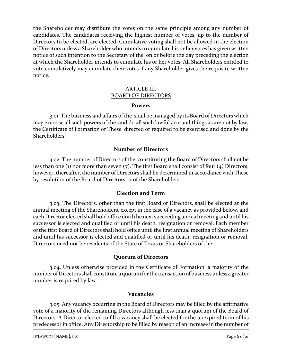the Shareholder may distribute the votes on the same principle among any number of candidates. The candidates receiving the highest number of votes, up to the number of Directors to be elected, are elected. Cumulative voting shall not be allowed in the election of Directors unless a Shareholder who intends to cumulate his or her votes has given written notice of such intention to the Secretary of the on or before the day preceding the election at which the Shareholder intends to cumulate his or her votes. All Shareholders entitled to vote cumulatively may cumulate their votes if any Shareholder gives the requisite written notice.

## ARTICLE III. BOARD OF DIRECTORS

#### **Powers**

3.01. The business and affairs of the shall be managed by its Board of Directors which may exercise all such powers of the and do all such lawful acts and things as are not by law, the Certificate of Formation or These directed or required to be exercised and done by the Shareholders.

# **Number of Directors**

3.02. The number of Directors of the constituting the Board of Directors shall not be less than one (1) nor more than seven (7). The first Board shall consist of four (4) Directors; however, thereafter, the number of Directors shall be determined in accordance with These by resolution of the Board of Directors or of the Shareholders.

#### **Election and Term**

3.03. The Directors, other than the first Board of Directors, shall be elected at the annual meeting of the Shareholders, except in the case of a vacancy as provided below, and each Director elected shall hold office until the next succeeding annual meeting and until his successor is elected and qualified or until his death, resignation or removal. Each member of the first Board of Directors shall hold office until the first annual meeting of Shareholders and until his successor is elected and qualified or until his death, resignation or removal. Directors need not be residents of the State of Texas or Shareholders of the .

#### **Quorum of Directors**

3.04. Unless otherwise provided in the Certificate of Formation, a majority of the number of Directors shall constitute a quorum for the transaction of business unless a greater number is required by law.

#### **Vacancies**

3.05. Any vacancy occurring in the Board of Directors may be filled by the affirmative vote of a majority of the remaining Directors although less than a quorum of the Board of Directors. A Director elected to fill a vacancy shall be elected for the unexpired term of his predecessor in office. Any Directorship to be filled by reason of an increase in the number of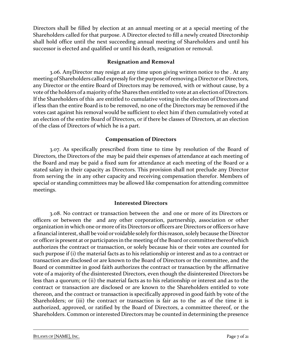Directors shall be filled by election at an annual meeting or at a special meeting of the Shareholders called for that purpose. A Director elected to fill a newly created Directorship shall hold office until the next succeeding annual meeting of Shareholders and until his successor is elected and qualified or until his death, resignation or removal.

# **Resignation and Removal**

3.06. AnyDirector may resign at any time upon giving written notice to the . At any meeting of Shareholders called expressly for the purpose of removing a Director or Directors, any Director or the entire Board of Directors may be removed, with or without cause, by a vote of the holders of a majority of the Shares then entitled to vote at an election of Directors. If the Shareholders of this are entitled to cumulative voting in the election of Directors and if less than the entire Board is to be removed, no one of the Directors may be removed if the votes cast against his removal would be sufficient to elect him if then cumulatively voted at an election of the entire Board of Directors, or if there be classes of Directors, at an election of the class of Directors of which he is a part.

# **Compensation of Directors**

3.07. As specifically prescribed from time to time by resolution of the Board of Directors, the Directors of the may be paid their expenses of attendance at each meeting of the Board and may be paid a fixed sum for attendance at each meeting of the Board or a stated salary in their capacity as Directors. This provision shall not preclude any Director from serving the in any other capacity and receiving compensation therefor. Members of special or standing committees may be allowed like compensation for attending committee meetings.

# **Interested Directors**

3.08. No contract or transaction between the and one or more of its Directors or officers or between the and any other corporation, partnership, association or other organization in which one or more of its Directors or officers are Directors or officers or have a financial interest, shall be void or voidable solely for this reason, solely because the Director or officer is present at or participates in the meeting of the Board or committee thereof which authorizes the contract or transaction, or solely because his or their votes are counted for such purpose if (i) the material facts as to his relationship or interest and as to a contract or transaction are disclosed or are known to the Board of Directors or the committee, and the Board or committee in good faith authorizes the contract or transaction by the affirmative vote of a majority of the disinterested Directors, even though the disinterested Directors be less than a quorum; or (ii) the material facts as to his relationship or interest and as to the contract or transaction are disclosed or are known to the Shareholders entitled to vote thereon, and the contract or transaction is specifically approved in good faith by vote of the Shareholders; or (iii) the contract or transaction is fair as to the as of the time it is authorized, approved, or ratified by the Board of Directors, a committee thereof, or the Shareholders. Common or interested Directors may be counted in determining the presence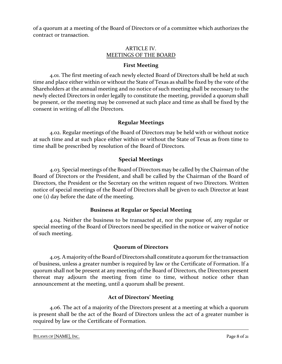of a quorum at a meeting of the Board of Directors or of a committee which authorizes the contract or transaction.

# ARTICLE IV. MEETINGS OF THE BOARD

# **First Meeting**

4.01. The first meeting of each newly elected Board of Directors shall be held at such time and place either within or without the State of Texas as shall be fixed by the vote of the Shareholders at the annual meeting and no notice of such meeting shall be necessary to the newly elected Directors in order legally to constitute the meeting, provided a quorum shall be present, or the meeting may be convened at such place and time as shall be fixed by the consent in writing of all the Directors.

# **Regular Meetings**

4.02. Regular meetings of the Board of Directors may be held with or without notice at such time and at such place either within or without the State of Texas as from time to time shall be prescribed by resolution of the Board of Directors.

# **Special Meetings**

4.03. Special meetings of the Board of Directors may be called by the Chairman of the Board of Directors or the President, and shall be called by the Chairman of the Board of Directors, the President or the Secretary on the written request of two Directors. Written notice of special meetings of the Board of Directors shall be given to each Director at least one (1) day before the date of the meeting.

# **Business at Regular or Special Meeting**

4.04. Neither the business to be transacted at, nor the purpose of, any regular or special meeting of the Board of Directors need be specified in the notice or waiver of notice of such meeting.

# **Quorum of Directors**

4.05. A majority of the Board of Directors shall constitute a quorum for the transaction of business, unless a greater number is required by law or the Certificate of Formation. If a quorum shall not be present at any meeting of the Board of Directors, the Directors present thereat may adjourn the meeting from time to time, without notice other than announcement at the meeting, until a quorum shall be present.

# **Act of Directors' Meeting**

4.06. The act of a majority of the Directors present at a meeting at which a quorum is present shall be the act of the Board of Directors unless the act of a greater number is required by law or the Certificate of Formation.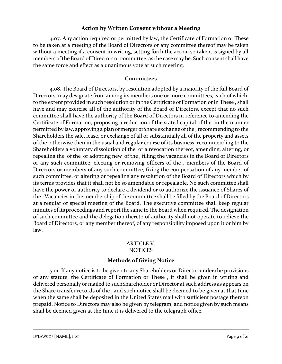## **Action by Written Consent without a Meeting**

4.07. Any action required or permitted by law, the Certificate of Formation or These to be taken at a meeting of the Board of Directors or any committee thereof may be taken without a meeting if a consent in writing, setting forth the action so taken, is signed by all members of the Board of Directors or committee, as the case may be. Such consent shall have the same force and effect as a unanimous vote at such meeting.

## **Committees**

4.08. The Board of Directors, by resolution adopted by a majority of the full Board of Directors, may designate from among its members one or more committees, each of which, to the extent provided in such resolution or in the Certificate of Formation or in These , shall have and may exercise all of the authority of the Board of Directors, except that no such committee shall have the authority of the Board of Directors in reference to amending the Certificate of Formation, proposing a reduction of the stated capital of the in the manner permitted by law, approving a plan of merger orShare exchange of the , recommending to the Shareholders the sale, lease, or exchange of all or substantially all of the property and assets of the otherwise then in the usual and regular course of its business, recommending to the Shareholders a voluntary dissolution of the or a revocation thereof, amending, altering, or repealing the of the or adopting new of the , filling the vacancies in the Board of Directors or any such committee, electing or removing officers of the , members of the Board of Directors or members of any such committee, fixing the compensation of any member of such committee, or altering or repealing any resolution of the Board of Directors which by its terms provides that it shall not be so amendable or repealable. No such committee shall have the power or authority to declare a dividend or to authorize the issuance of Shares of the . Vacancies in the membership of the committee shall be filled by the Board of Directors at a regular or special meeting of the Board. The executive committee shall keep regular minutes of its proceedings and report the same to the Board when required. The designation of such committee and the delegation thereto of authority shall not operate to relieve the Board of Directors, or any member thereof, of any responsibility imposed upon it or him by law.

#### ARTICLE V. NOTICES

# **Methods of Giving Notice**

5.01. If any notice is to be given to any Shareholders or Director under the provisions of any statute, the Certificate of Formation or These , it shall be given in writing and delivered personally or mailed to suchShareholder or Director at such address as appears on the Share transfer records of the , and such notice shall be deemed to be given at that time when the same shall be deposited in the United States mail with sufficient postage thereon prepaid. Notice to Directors may also be given by telegram, and notice given by such means shall be deemed given at the time it is delivered to the telegraph office.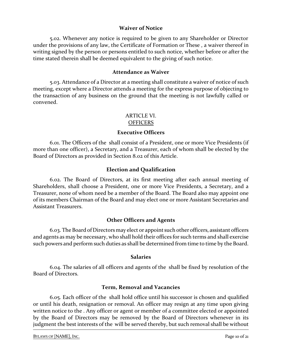#### **Waiver of Notice**

5.02. Whenever any notice is required to be given to any Shareholder or Director under the provisions of any law, the Certificate of Formation or These , a waiver thereof in writing signed by the person or persons entitled to such notice, whether before or after the time stated therein shall be deemed equivalent to the giving of such notice.

#### **Attendance as Waiver**

5.03. Attendance of a Director at a meeting shall constitute a waiver of notice of such meeting, except where a Director attends a meeting for the express purpose of objecting to the transaction of any business on the ground that the meeting is not lawfully called or convened.

#### ARTICLE VI. **OFFICERS**

#### **Executive Officers**

6.01. The Officers of the shall consist of a President, one or more Vice Presidents (if more than one officer), a Secretary, and a Treasurer, each of whom shall be elected by the Board of Directors as provided in Section 8.02 of this Article.

#### **Election and Qualification**

6.02. The Board of Directors, at its first meeting after each annual meeting of Shareholders, shall choose a President, one or more Vice Presidents, a Secretary, and a Treasurer, none of whom need be a member of the Board. The Board also may appoint one of its members Chairman of the Board and may elect one or more Assistant Secretaries and Assistant Treasurers.

#### **Other Officers and Agents**

6.03. The Board of Directorsmay elect or appoint such other officers, assistant officers and agents as may be necessary, who shall hold their offices for such terms and shall exercise such powers and perform such duties as shall be determined from time to time by the Board.

#### **Salaries**

6.04. The salaries of all officers and agents of the shall be fixed by resolution of the Board of Directors.

#### **Term, Removal and Vacancies**

6.05. Each officer of the shall hold office until his successor is chosen and qualified or until his death, resignation or removal. An officer may resign at any time upon giving written notice to the . Any officer or agent or member of a committee elected or appointed by the Board of Directors may be removed by the Board of Directors whenever in its judgment the best interests of the will be served thereby, but such removal shall be without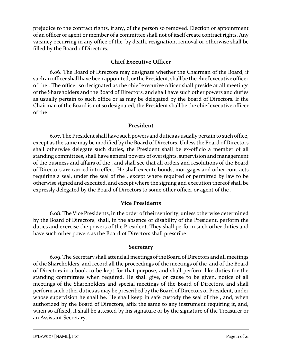prejudice to the contract rights, if any, of the person so removed. Election or appointment of an officer or agent or member of a committee shall not of itself create contract rights. Any vacancy occurring in any office of the by death, resignation, removal or otherwise shall be filled by the Board of Directors.

## **Chief Executive Officer**

6.06. The Board of Directors may designate whether the Chairman of the Board, if such anofficer shall have been appointed, or the President, shall be the chief executive officer of the . The officer so designated as the chief executive officer shall preside at all meetings of the Shareholders and the Board of Directors, and shall have such other powers and duties as usually pertain to such office or as may be delegated by the Board of Directors. If the Chairman of the Board is not so designated, the President shall be the chief executive officer of the .

# **President**

6.07. The President shall have such powers and duties as usually pertain to such office, except as the same may be modified by the Board of Directors. Unless the Board of Directors shall otherwise delegate such duties, the President shall be ex-officio a member of all standing committees, shall have general powers of oversights, supervision and management of the business and affairs of the , and shall see that all orders and resolutions of the Board of Directors are carried into effect. He shall execute bonds, mortgages and other contracts requiring a seal, under the seal of the , except where required or permitted by law to be otherwise signed and executed, and except where the signing and execution thereof shall be expressly delegated by the Board of Directors to some other officer or agent of the .

# **Vice Presidents**

6.08. The Vice Presidents, in the order of their seniority, unless otherwise determined by the Board of Directors, shall, in the absence or disability of the President, perform the duties and exercise the powers of the President. They shall perform such other duties and have such other powers as the Board of Directors shall prescribe.

#### **Secretary**

6.09. The Secretary shall attend all meetings oftheBoard of Directors and all meetings of the Shareholders, and record all the proceedings of the meetings of the and of the Board of Directors in a book to be kept for that purpose, and shall perform like duties for the standing committees when required. He shall give, or cause to be given, notice of all meetings of the Shareholders and special meetings of the Board of Directors, and shall perform such other duties as may be prescribed by the Board of Directors or President, under whose supervision he shall be. He shall keep in safe custody the seal of the , and, when authorized by the Board of Directors, affix the same to any instrument requiring it, and, when so affixed, it shall be attested by his signature or by the signature of the Treasurer or an Assistant Secretary.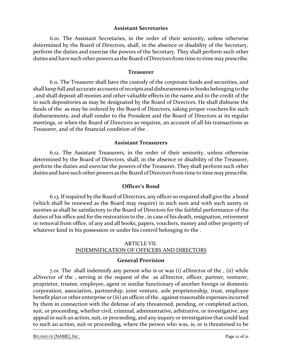#### **Assistant Secretaries**

6.10. The Assistant Secretaries, in the order of their seniority, unless otherwise determined by the Board of Directors, shall, in the absence or disability of the Secretary, perform the duties and exercise the powers of the Secretary. They shall perform such other duties and have such other powers as the Board of Directors from time to time may prescribe.

#### **Treasurer**

6.11. The Treasurer shall have the custody of the corporate funds and securities, and shall keep full and accurate accounts of receipts and disbursements in books belonging to the , and shall deposit all monies and other valuable effects in the name and to the credit of the in such depositories as may be designated by the Board of Directors. He shall disburse the funds of the as may be ordered by the Board of Directors, taking proper vouchers for such disbursements, and shall render to the President and the Board of Directors at its regular meetings, or when the Board of Directors so requires, an account of all his transactions as Treasurer, and of the financial condition of the .

#### **Assistant Treasurers**

6.12. The Assistant Treasurers, in the order of their seniority, unless otherwise determined by the Board of Directors, shall, in the absence or disability of the Treasurer, perform the duties and exercise the powers of the Treasurer. They shall perform such other duties and have such other powers as the Board of Directors from time to time may prescribe.

#### **Officer's Bond**

6.13. If required by the Board of Directors, any officer so required shall give the a bond (which shall be renewed as the Board may require) in such sum and with such surety or sureties as shall be satisfactory to the Board of Directors for the faithful performance of the duties of his office and for the restoration to the , in case of his death, resignation, retirement or removal from office, of any and all books, papers, vouchers, money and other property of whatever kind in his possession or under his control belonging to the .

#### ARTICLE VII. INDEMNIFICATION OF OFFICERS AND DIRECTORS

#### **General Provision**

7.01. The shall indemnify any person who is or was (i) aDirector of the , (ii) while aDirector of the , serving at the request of the as aDirector, officer, partner, venturer, proprietor, trustee, employee, agent or similar functionary of another foreign or domestic corporation, association, partnership, joint venture, sole proprietorship, trust, employee benefit plan or other enterprise or (iii) an officer of the , against reasonable expenses incurred by them in connection with the defense of any threatened, pending, or completed action, suit, or proceeding, whether civil, criminal, administrative, arbitrative, or investigative, any appeal in such an action, suit, or proceeding, and any inquiry or investigation that could lead to such an action, suit or proceeding, where the person who was, is, or is threatened to be

BYLAWS OF [NAME], INC. Page 12 of 21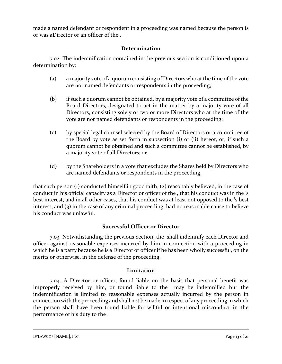made a named defendant or respondent in a proceeding was named because the person is or was aDirector or an officer of the .

# **Determination**

7.02. The indemnification contained in the previous section is conditioned upon a determination by:

- (a) a majority vote of a quorum consisting of Directors who at the time of the vote are not named defendants or respondents in the proceeding;
- (b) if such a quorum cannot be obtained, by a majority vote of a committee of the Board Directors, designated to act in the matter by a majority vote of all Directors, consisting solely of two or more Directors who at the time of the vote are not named defendants or respondents in the proceeding;
- (c) by special legal counsel selected by the Board of Directors or a committee of the Board by vote as set forth in subsection (i) or (ii) hereof, or, if such a quorum cannot be obtained and such a committee cannot be established, by a majority vote of all Directors; or
- (d) by the Shareholders in a vote that excludes the Shares held by Directors who are named defendants or respondents in the proceeding,

that such person (1) conducted himself in good faith; (2) reasonably believed, in the case of conduct in his official capacity as a Director or officer of the , that his conduct was in the 's best interest, and in all other cases, that his conduct was at least not opposed to the 's best interest; and (3) in the case of any criminal proceeding, had no reasonable cause to believe his conduct was unlawful.

# **Successful Officer or Director**

7.03. Notwithstanding the previous Section, the shall indemnify each Director and officer against reasonable expenses incurred by him in connection with a proceeding in which he is a party because he is a Director or officer if he has been wholly successful, on the merits or otherwise, in the defense of the proceeding.

# **Limitation**

7.04. A Director or officer, found liable on the basis that personal benefit was improperly received by him, or found liable to the may be indemnified but the indemnification is limited to reasonable expenses actually incurred by the person in connection with the proceeding and shall not be made in respect of any proceeding in which the person shall have been found liable for willful or intentional misconduct in the performance of his duty to the .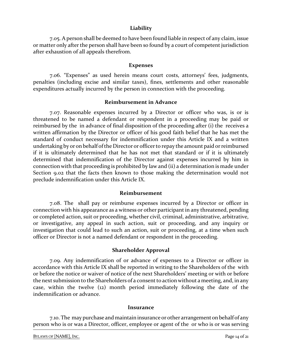#### **Liability**

7.05. A person shall be deemed to have been found liable in respect of any claim, issue or matter only after the person shall have been so found by a court of competent jurisdiction after exhaustion of all appeals therefrom.

#### **Expenses**

7.06. "Expenses" as used herein means court costs, attorneys' fees, judgments, penalties (including excise and similar taxes), fines, settlements and other reasonable expenditures actually incurred by the person in connection with the proceeding.

#### **Reimbursement in Advance**

7.07. Reasonable expenses incurred by a Director or officer who was, is or is threatened to be named a defendant or respondent in a proceeding may be paid or reimbursed by the in advance of final disposition of the proceeding after (i) the receives a written affirmation by the Director or officer of his good faith belief that he has met the standard of conduct necessary for indemnification under this Article IX and a written undertaking by or on behalf of the Director or officer to repay the amount paid or reimbursed if it is ultimately determined that he has not met that standard or if it is ultimately determined that indemnification of the Director against expenses incurred by him in connection with that proceeding is prohibited by law and (ii) a determination is made under Section 9.02 that the facts then known to those making the determination would not preclude indemnification under this Article IX.

#### **Reimbursement**

7.08. The shall pay or reimburse expenses incurred by a Director or officer in connection with his appearance as a witness or other participant in any threatened, pending or completed action, suit or proceeding, whether civil, criminal, administrative, arbitrative, or investigative, any appeal in such action, suit or proceeding, and any inquiry or investigation that could lead to such an action, suit or proceeding, at a time when such officer or Director is not a named defendant or respondent in the proceeding.

#### **Shareholder Approval**

7.09. Any indemnification of or advance of expenses to a Director or officer in accordance with this Article IX shall be reported in writing to the Shareholders of the with or before the notice or waiver of notice of the next Shareholders' meeting or with or before the next submission to the Shareholders of a consent to action without a meeting, and, in any case, within the twelve (12) month period immediately following the date of the indemnification or advance.

#### **Insurance**

7.10. The may purchase and maintain insurance or other arrangement on behalf of any person who is or was a Director, officer, employee or agent of the or who is or was serving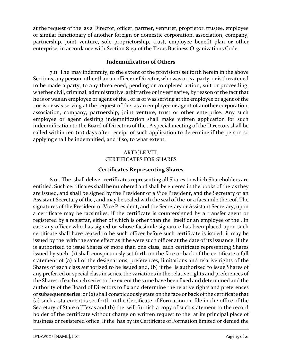at the request of the as a Director, officer, partner, venturer, proprietor, trustee, employee or similar functionary of another foreign or domestic corporation, association, company, partnership, joint venture, sole proprietorship, trust, employee benefit plan or other enterprise, in accordance with Section 8.151 of the Texas Business Organizations Code.

# **Indemnification of Others**

7.11. The may indemnify, to the extent of the provisions set forth herein in the above Sections, any person, other than an officer or Director, who was or is a party, or is threatened to be made a party, to any threatened, pending or completed action, suit or proceeding, whether civil, criminal, administrative, arbitrative or investigative, by reason of the fact that he is or was an employee or agent of the , or is or was serving at the employee or agent of the , or is or was serving at the request of the as an employee or agent of another corporation, association, company, partnership, joint venture, trust or other enterprise. Any such employee or agent desiring indemnification shall make written application for such indemnification to the Board of Directors of the . A special meeting of the Directors shall be called within ten (10) days after receipt of such application to determine if the person so applying shall be indemnified, and if so, to what extent.

# ARTICLE VIII. CERTIFICATES FOR SHARES

# **Certificates Representing Shares**

8.01. The shall deliver certificates representing all Shares to which Shareholders are entitled. Such certificates shall be numbered and shall be entered in the books of the as they are issued, and shall be signed by the President or a Vice President, and the Secretary or an Assistant Secretary of the , and may be sealed with the seal of the or a facsimile thereof. The signatures of the President or Vice President, and the Secretary or Assistant Secretary, upon a certificate may be facsimiles, if the certificate is countersigned by a transfer agent or registered by a registrar, either of which is other than the itself or an employee of the . In case any officer who has signed or whose facsimile signature has been placed upon such certificate shall have ceased to be such officer before such certificate is issued, it may be issued by the with the same effect as if he were such officer at the date of its issuance. If the is authorized to issue Shares of more than one class, each certificate representing Shares issued by such (1) shall conspicuously set forth on the face or back of the certificate a full statement of (a) all of the designations, preferences, limitations and relative rights of the Shares of each class authorized to be issued and, (b) if the is authorized to issue Shares of any preferred or special class in series, the variations in the relative rights and preferences of the Shares of each such series to the extent the same have been fixed and determined and the authority of the Board of Directors to fix and determine the relative rights and preferences of subsequent series; or (2) shall conspicuously state on the face or back of the certificate that (a) such a statement is set forth in the Certificate of Formation on file in the office of the Secretary of State of Texas and (b) the will furnish a copy of such statement to the record holder of the certificate without charge on written request to the at its principal place of business or registered office. If the has by its Certificate of Formation limited or denied the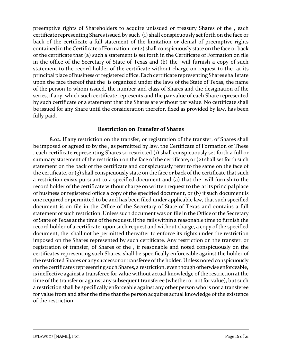preemptive rights of Shareholders to acquire unissued or treasury Shares of the , each certificate representing Shares issued by such (1) shall conspicuously set forth on the face or back of the certificate a full statement of the limitation or denial of preemptive rights contained in the Certificate of Formation, or (2) shall conspicuously state on the face or back of the certificate that (a) such a statement is set forth in the Certificate of Formation on file in the office of the Secretary of State of Texas and (b) the will furnish a copy of such statement to the record holder of the certificate without charge on request to the at its principal place of business or registeredoffice.Each certificate representing Shares shall state upon the face thereof that the is organized under the laws of the State of Texas, the name of the person to whom issued, the number and class of Shares and the designation of the series, if any, which such certificate represents and the par value of each Share represented by such certificate or a statement that the Shares are without par value. No certificate shall be issued for any Share until the consideration therefor, fixed as provided by law, has been fully paid.

# **Restriction on Transfer of Shares**

8.02. If any restriction on the transfer, or registration of the transfer, of Shares shall be imposed or agreed to by the , as permitted by law, the Certificate of Formation or These , each certificate representing Shares so restricted (1) shall conspicuously set forth a full or summary statement of the restriction on the face of the certificate, or (2) shall set forth such statement on the back of the certificate and conspicuously refer to the same on the face of the certificate, or (3) shall conspicuously state on the face or back of the certificate that such a restriction exists pursuant to a specified document and (a) that the will furnish to the record holder of the certificate without charge on written request to the at its principal place of business or registered office a copy of the specified document, or (b) if such document is one required or permitted to be and has been filed under applicable law, that such specified document is on file in the Office of the Secretary of State of Texas and contains a full statement of such restriction. Unless such document was on file in the Office of the Secretary of State of Texas at the time of the request, if the fails within a reasonable time to furnish the record holder of a certificate, upon such request and without charge, a copy of the specified document, the shall not be permitted thereafter to enforce its rights under the restriction imposed on the Shares represented by such certificate. Any restriction on the transfer, or registration of transfer, of Shares of the , if reasonable and noted conspicuously on the certificates representing such Shares, shall be specifically enforceable against the holder of the restricted Shares or any successor or transferee of the holder. Unlessnoted conspicuously onthe certificates representing such Shares, a restriction, eventhoughotherwise enforceable, is ineffective against a transferee for value without actual knowledge of the restriction at the time of the transfer or against any subsequent transferee (whether or not for value), but such a restriction shall be specifically enforceable against any other person who is not a transferee for value from and after the time that the person acquires actual knowledge of the existence of the restriction.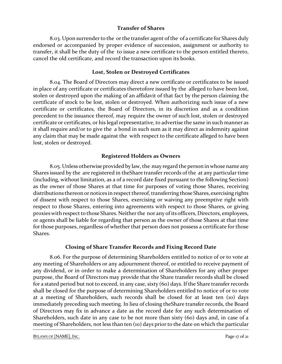# **Transfer of Shares**

8.03. Upon surrender to the or the transfer agent of the of a certificate for Shares duly endorsed or accompanied by proper evidence of succession, assignment or authority to transfer, it shall be the duty of the to issue a new certificate to the person entitled thereto, cancel the old certificate, and record the transaction upon its books.

# **Lost, Stolen or Destroyed Certificates**

8.04. The Board of Directors may direct a new certificate or certificates to be issued in place of any certificate or certificates theretofore issued by the alleged to have been lost, stolen or destroyed upon the making of an affidavit of that fact by the person claiming the certificate of stock to be lost, stolen or destroyed. When authorizing such issue of a new certificate or certificates, the Board of Directors, in its discretion and as a condition precedent to the issuance thereof, may require the owner of such lost, stolen or destroyed certificate or certificates, or his legal representative, to advertise the same in such manner as it shall require and/or to give the a bond in such sum as it may direct as indemnity against any claim that may be made against the with respect to the certificate alleged to have been lost, stolen or destroyed.

# **Registered Holders as Owners**

8.05. Unless otherwise provided by law, the may regard the person in whose name any Shares issued by the are registered in theShare transfer records of the at any particular time (including, without limitation, as a of a record date fixed pursuant to the following Section) as the owner of those Shares at that time for purposes of voting those Shares, receiving distributions thereon or notices in respect thereof, transferring those Shares, exercising rights of dissent with respect to those Shares, exercising or waiving any preemptive right with respect to those Shares, entering into agreements with respect to those Shares, or giving proxieswith respect to those Shares. Neither the nor any of its officers, Directors, employees, or agents shall be liable for regarding that person as the owner of those Shares at that time for those purposes, regardless of whether that person does not possess a certificate for those Shares.

# **Closing of Share Transfer Records and Fixing Record Date**

8.06. For the purpose of determining Shareholders entitled to notice of or to vote at any meeting of Shareholders or any adjournment thereof, or entitled to receive payment of any dividend, or in order to make a determination of Shareholders for any other proper purpose, the Board of Directors may provide that the Share transfer records shall be closed for a stated period but not to exceed, in any case, sixty (60) days. If the Share transfer records shall be closed for the purpose of determining Shareholders entitled to notice of or to vote at a meeting of Shareholders, such records shall be closed for at least ten (10) days immediately preceding such meeting. In lieu of closing theShare transfer records, the Board of Directors may fix in advance a date as the record date for any such determination of Shareholders, such date in any case to be not more than sixty (60) days and, in case of a meeting of Shareholders, not less than ten (10) days prior to the date on which the particular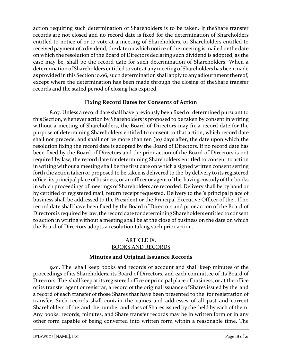action requiring such determination of Shareholders is to be taken. If theShare transfer records are not closed and no record date is fixed for the determination of Shareholders entitled to notice of or to vote at a meeting of Shareholders, or Shareholders entitled to received payment of a dividend, the date on which notice of the meeting is mailed or the date on which the resolution of the Board of Directors declaring such dividend is adopted, as the case may be, shall be the record date for such determination of Shareholders. When a determination of Shareholders entitled to vote at any meeting of Shareholdershas been made as provided in this Section 10.06, such determination shall apply to any adjournment thereof, except where the determination has been made through the closing of theShare transfer records and the stated period of closing has expired.

# **Fixing Record Dates for Consents of Action**

8.07. Unless a record date shall have previously been fixed or determined pursuant to this Section, whenever action by Shareholders is proposed to be taken by consent in writing without a meeting of Shareholders, the Board of Directors may fix a record date for the purpose of determining Shareholders entitled to consent to that action, which record date shall not precede, and shall not be more than ten (10) days after, the date upon which the resolution fixing the record date is adopted by the Board of Directors. If no record date has been fixed by the Board of Directors and the prior action of the Board of Directors is not required by law, the record date for determining Shareholders entitled to consent to action in writing without a meeting shall be the first date on which a signed written consent setting forth the action taken or proposed to be taken is delivered to the by delivery to its registered office, its principal place of business, or an officer or agent of the having custody of the books in which proceedings of meetings of Shareholders are recorded. Delivery shall be by hand or by certified or registered mail, return receipt requested. Delivery to the 's principal place of business shall be addressed to the President or the Principal Executive Officer of the . If no record date shall have been fixed by the Board of Directors and prior action of the Board of Directors is required by law, the record date for determining Shareholders entitled to consent to action in writing without a meeting shall be at the close of business on the date on which the Board of Directors adopts a resolution taking such prior action.

# ARTICLE IX. BOOKS AND RECORDS

#### **Minutes and Original Issuance Records**

9.01. The shall keep books and records of account and shall keep minutes of the proceedings of its Shareholders, its Board of Directors, and each committee of its Board of Directors. The shall keep at its registered office or principal place of business, or at the office of its transfer agent or registrar, a record of the original issuance of Shares issued by the and a record of each transfer of those Shares that have been presented to the for registration of transfer. Such records shall contain the names and addresses of all past and current Shareholders of the and the number and class of Shares issued by the held by each of them. Any books, records, minutes, and Share transfer records may be in written form or in any other form capable of being converted into written form within a reasonable time. The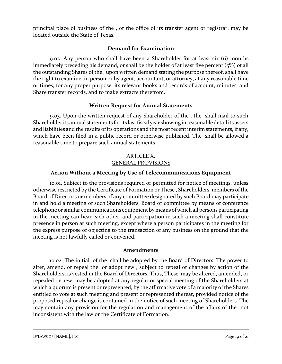principal place of business of the , or the office of its transfer agent or registrar, may be located outside the State of Texas.

# **Demand for Examination**

9.02. Any person who shall have been a Shareholder for at least six (6) months immediately preceding his demand, or shall be the holder of at least five percent (5%) of all the outstanding Shares of the , upon written demand stating the purpose thereof, shall have the right to examine, in person or by agent, accountant, or attorney, at any reasonable time or times, for any proper purpose, its relevant books and records of account, minutes, and Share transfer records, and to make extracts therefrom.

# **Written Request for Annual Statements**

9.03. Upon the written request of any Shareholder of the , the shall mail to such Shareholder its annual statements for its last fiscal year showing in reasonable detail its assets and liabilities and the results of its operations and the most recent interim statements, if any, which have been filed in a public record or otherwise published. The shall be allowed a reasonable time to prepare such annual statements.

# ARTICLE X. GENERAL PROVISIONS

# **Action Without a Meeting by Use of Telecommunications Equipment**

10.01. Subject to the provisions required or permitted for notice of meetings, unless otherwise restricted by the Certificate of Formation or These , Shareholders, members of the Board of Directors or members of any committee designated by such Board may participate in and hold a meeting of such Shareholders, Board or committee by means of conference telephone or similar communications equipment by means of which all persons participating in the meeting can hear each other, and participation in such a meeting shall constitute presence in person at such meeting, except where a person participates in the meeting for the express purpose of objecting to the transaction of any business on the ground that the meeting is not lawfully called or convened.

#### **Amendments**

10.02. The initial of the shall be adopted by the Board of Directors. The power to alter, amend, or repeal the or adopt new , subject to repeal or changes by action of the Shareholders, is vested in the Board of Directors. Thus, These may be altered, amended, or repealed or new may be adopted at any regular or special meeting of the Shareholders at which a quorum is present or represented, by the affirmative vote of a majority of the Shares entitled to vote at such meeting and present or represented thereat, provided notice of the proposed repeal or change is contained in the notice of such meeting of Shareholders. The may contain any provision for the regulation and management of the affairs of the not inconsistent with the law or the Certificate of Formation.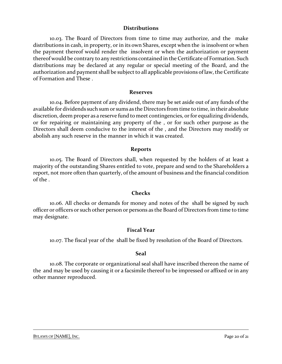#### **Distributions**

10.03. The Board of Directors from time to time may authorize, and the make distributions in cash, in property, or in its own Shares, except when the is insolvent or when the payment thereof would render the insolvent or when the authorization or payment thereof would be contrary to any restrictions contained in the Certificate of Formation. Such distributions may be declared at any regular or special meeting of the Board, and the authorization and payment shall be subject to all applicable provisions of law, the Certificate of Formation and These .

#### **Reserves**

10.04. Before payment of any dividend, there may be set aside out of any funds of the available for dividends such sum or sums as the Directors from time to time, in their absolute discretion, deem proper as a reserve fund to meet contingencies, or for equalizing dividends, or for repairing or maintaining any property of the , or for such other purpose as the Directors shall deem conducive to the interest of the , and the Directors may modify or abolish any such reserve in the manner in which it was created.

#### **Reports**

10.05. The Board of Directors shall, when requested by the holders of at least a majority of the outstanding Shares entitled to vote, prepare and send to the Shareholders a report, not more often than quarterly, of the amount of business and the financial condition of the .

#### **Checks**

10.06. All checks or demands for money and notes of the shall be signed by such officer or officers or such other person or persons as the Board of Directors from time to time may designate.

#### **Fiscal Year**

10.07. The fiscal year of the shall be fixed by resolution of the Board of Directors.

#### **Seal**

10.08. The corporate or organizational seal shall have inscribed thereon the name of the and may be used by causing it or a facsimile thereof to be impressed or affixed or in any other manner reproduced.